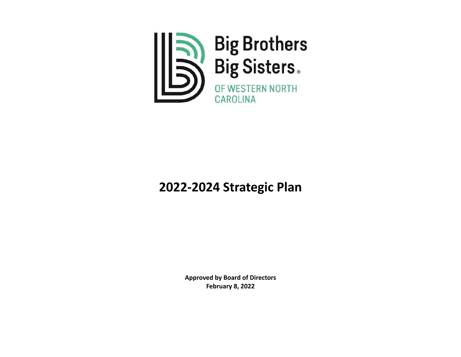

# **2022-2024 Strategic Plan**

**Approved by Board of Directors February 8, 2022**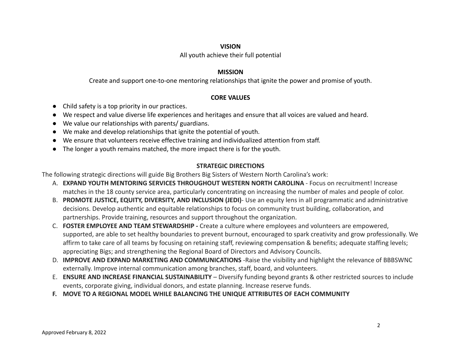#### **VISION**

#### All youth achieve their full potential

#### **MISSION**

Create and support one-to-one mentoring relationships that ignite the power and promise of youth.

### **CORE VALUES**

- Child safety is a top priority in our practices.
- We respect and value diverse life experiences and heritages and ensure that all voices are valued and heard.
- We value our relationships with parents/ guardians.
- We make and develop relationships that ignite the potential of youth.
- We ensure that volunteers receive effective training and individualized attention from staff.
- The longer a youth remains matched, the more impact there is for the youth.

## **STRATEGIC DIRECTIONS**

The following strategic directions will guide Big Brothers Big Sisters of Western North Carolina's work:

- A. **EXPAND YOUTH MENTORING SERVICES THROUGHOUT WESTERN NORTH CAROLINA** Focus on recruitment! Increase matches in the 18 county service area, particularly concentrating on increasing the number of males and people of color.
- B. **PROMOTE JUSTICE, EQUITY, DIVERSITY, AND INCLUSION (JEDI)** Use an equity lens in all programmatic and administrative decisions. Develop authentic and equitable relationships to focus on community trust building, collaboration, and partnerships. Provide training, resources and support throughout the organization.
- C. **FOSTER EMPLOYEE AND TEAM STEWARDSHIP -** Create a culture where employees and volunteers are empowered, supported, are able to set healthy boundaries to prevent burnout, encouraged to spark creativity and grow professionally. We affirm to take care of all teams by focusing on retaining staff, reviewing compensation & benefits; adequate staffing levels; appreciating Bigs; and strengthening the Regional Board of Directors and Advisory Councils.
- D. **IMPROVE AND EXPAND MARKETING AND COMMUNICATIONS** -Raise the visibility and highlight the relevance of BBBSWNC externally. Improve internal communication among branches, staff, board, and volunteers.
- E. **ENSURE AND INCREASE FINANCIAL SUSTAINABILITY** Diversify funding beyond grants & other restricted sources to include events, corporate giving, individual donors, and estate planning. Increase reserve funds.
- **F. MOVE TO A REGIONAL MODEL WHILE BALANCING THE UNIQUE ATTRIBUTES OF EACH COMMUNITY**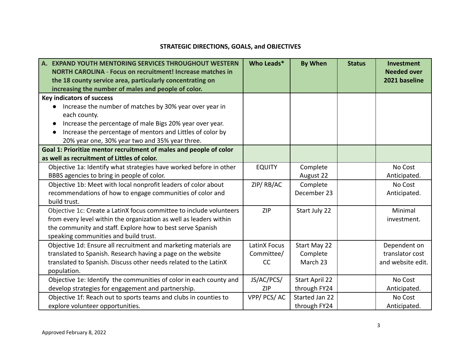# **STRATEGIC DIRECTIONS, GOALS, and OBJECTIVES**

| A. EXPAND YOUTH MENTORING SERVICES THROUGHOUT WESTERN               | Who Leads*          | <b>By When</b> | <b>Status</b> | <b>Investment</b>                   |
|---------------------------------------------------------------------|---------------------|----------------|---------------|-------------------------------------|
| <b>NORTH CAROLINA - Focus on recruitment! Increase matches in</b>   |                     |                |               | <b>Needed over</b><br>2021 baseline |
| the 18 county service area, particularly concentrating on           |                     |                |               |                                     |
| increasing the number of males and people of color.                 |                     |                |               |                                     |
| <b>Key indicators of success</b>                                    |                     |                |               |                                     |
| Increase the number of matches by 30% year over year in             |                     |                |               |                                     |
| each county.                                                        |                     |                |               |                                     |
| Increase the percentage of male Bigs 20% year over year.            |                     |                |               |                                     |
| Increase the percentage of mentors and Littles of color by          |                     |                |               |                                     |
| 20% year one, 30% year two and 35% year three.                      |                     |                |               |                                     |
| Goal 1: Prioritize mentor recruitment of males and people of color  |                     |                |               |                                     |
| as well as recruitment of Littles of color.                         |                     |                |               |                                     |
| Objective 1a: Identify what strategies have worked before in other  | <b>EQUITY</b>       | Complete       |               | No Cost                             |
| BBBS agencies to bring in people of color.                          |                     | August 22      |               | Anticipated.                        |
| Objective 1b: Meet with local nonprofit leaders of color about      | ZIP/RB/AC           | Complete       |               | No Cost                             |
| recommendations of how to engage communities of color and           |                     | December 23    |               | Anticipated.                        |
| build trust.                                                        |                     |                |               |                                     |
| Objective 1c: Create a LatinX focus committee to include volunteers | <b>ZIP</b>          | Start July 22  |               | Minimal                             |
| from every level within the organization as well as leaders within  |                     |                |               | investment.                         |
| the community and staff. Explore how to best serve Spanish          |                     |                |               |                                     |
| speaking communities and build trust.                               |                     |                |               |                                     |
| Objective 1d: Ensure all recruitment and marketing materials are    | <b>LatinX Focus</b> | Start May 22   |               | Dependent on                        |
| translated to Spanish. Research having a page on the website        | Committee/          | Complete       |               | translator cost                     |
| translated to Spanish. Discuss other needs related to the LatinX    | CC                  | March 23       |               | and website edit.                   |
| population.                                                         |                     |                |               |                                     |
| Objective 1e: Identify the communities of color in each county and  | JS/AC/PCS/          | Start April 22 |               | No Cost                             |
| develop strategies for engagement and partnership.                  | <b>ZIP</b>          | through FY24   |               | Anticipated.                        |
| Objective 1f: Reach out to sports teams and clubs in counties to    | VPP/PCS/AC          | Started Jan 22 |               | No Cost                             |
| explore volunteer opportunities.                                    |                     | through FY24   |               | Anticipated.                        |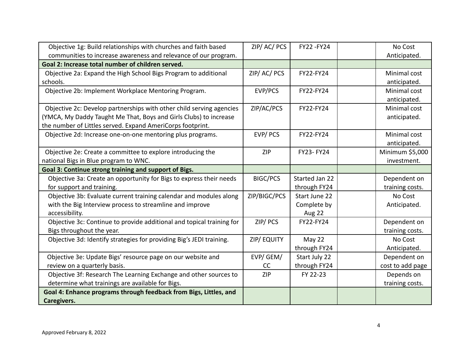| Objective 1g: Build relationships with churches and faith based       | ZIP/AC/PCS        | FY22-FY24            | No Cost          |
|-----------------------------------------------------------------------|-------------------|----------------------|------------------|
| communities to increase awareness and relevance of our program.       |                   |                      | Anticipated.     |
| Goal 2: Increase total number of children served.                     |                   |                      |                  |
| Objective 2a: Expand the High School Bigs Program to additional       | ZIP/AC/PCS        | FY22-FY24            | Minimal cost     |
| schools.                                                              |                   |                      | anticipated.     |
| Objective 2b: Implement Workplace Mentoring Program.                  | EVP/PCS           | FY22-FY24            | Minimal cost     |
|                                                                       |                   |                      | anticipated.     |
| Objective 2c: Develop partnerships with other child serving agencies  | ZIP/AC/PCS        | FY22-FY24            | Minimal cost     |
| (YMCA, My Daddy Taught Me That, Boys and Girls Clubs) to increase     |                   |                      | anticipated.     |
| the number of Littles served. Expand AmeriCorps footprint.            |                   |                      |                  |
| Objective 2d: Increase one-on-one mentoring plus programs.            | EVP/PCS           | FY22-FY24            | Minimal cost     |
|                                                                       |                   |                      | anticipated.     |
| Objective 2e: Create a committee to explore introducing the           | <b>ZIP</b>        | FY23-FY24            | Minimum \$5,000  |
| national Bigs in Blue program to WNC.                                 |                   |                      | investment.      |
| Goal 3: Continue strong training and support of Bigs.                 |                   |                      |                  |
| Objective 3a: Create an opportunity for Bigs to express their needs   | <b>BIGC/PCS</b>   | Started Jan 22       | Dependent on     |
| for support and training.                                             |                   | through FY24         | training costs.  |
| Objective 3b: Evaluate current training calendar and modules along    | ZIP/BIGC/PCS      | <b>Start June 22</b> | No Cost          |
| with the Big Interview process to streamline and improve              |                   | Complete by          | Anticipated.     |
| accessibility.                                                        |                   | Aug 22               |                  |
| Objective 3c: Continue to provide additional and topical training for | ZIP/PCS           | FY22-FY24            | Dependent on     |
| Bigs throughout the year.                                             |                   |                      | training costs.  |
| Objective 3d: Identify strategies for providing Big's JEDI training.  | <b>ZIP/EQUITY</b> | May 22               | No Cost          |
|                                                                       |                   | through FY24         | Anticipated.     |
| Objective 3e: Update Bigs' resource page on our website and           | EVP/GEM/          | Start July 22        | Dependent on     |
| review on a quarterly basis.                                          | CC                | through FY24         | cost to add page |
| Objective 3f: Research The Learning Exchange and other sources to     | <b>ZIP</b>        | FY 22-23             | Depends on       |
| determine what trainings are available for Bigs.                      |                   |                      | training costs.  |
| Goal 4: Enhance programs through feedback from Bigs, Littles, and     |                   |                      |                  |
| Caregivers.                                                           |                   |                      |                  |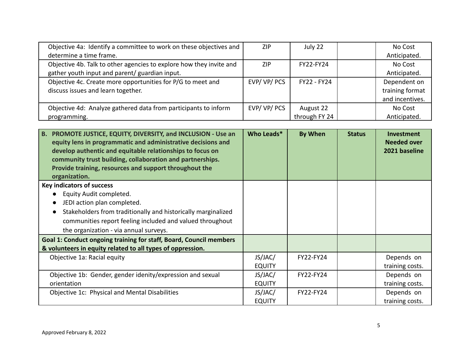| Objective 4a: Identify a committee to work on these objectives and<br>determine a time frame.                                                                                                                                                                                                                                      | <b>ZIP</b>               | July 22                    |               | No Cost<br>Anticipated.                            |
|------------------------------------------------------------------------------------------------------------------------------------------------------------------------------------------------------------------------------------------------------------------------------------------------------------------------------------|--------------------------|----------------------------|---------------|----------------------------------------------------|
| Objective 4b. Talk to other agencies to explore how they invite and<br>gather youth input and parent/ guardian input.                                                                                                                                                                                                              | <b>ZIP</b>               | FY22-FY24                  |               | No Cost<br>Anticipated.                            |
| Objective 4c. Create more opportunities for P/G to meet and<br>discuss issues and learn together.                                                                                                                                                                                                                                  | EVP/VP/PCS               | FY22 - FY24                |               | Dependent on<br>training format<br>and incentives. |
| Objective 4d: Analyze gathered data from participants to inform<br>programming.                                                                                                                                                                                                                                                    | EVP/VP/PCS               | August 22<br>through FY 24 |               | No Cost<br>Anticipated.                            |
| B. PROMOTE JUSTICE, EQUITY, DIVERSITY, and INCLUSION - Use an<br>equity lens in programmatic and administrative decisions and<br>develop authentic and equitable relationships to focus on<br>community trust building, collaboration and partnerships.<br>Provide training, resources and support throughout the<br>organization. | Who Leads*               | <b>By When</b>             | <b>Status</b> | Investment<br><b>Needed over</b><br>2021 baseline  |
| <b>Key indicators of success</b>                                                                                                                                                                                                                                                                                                   |                          |                            |               |                                                    |
| Equity Audit completed.<br>JEDI action plan completed.<br>Stakeholders from traditionally and historically marginalized<br>$\bullet$<br>communities report feeling included and valued throughout<br>the organization - via annual surveys.                                                                                        |                          |                            |               |                                                    |
| Goal 1: Conduct ongoing training for staff, Board, Council members                                                                                                                                                                                                                                                                 |                          |                            |               |                                                    |
| & volunteers in equity related to all types of oppression.                                                                                                                                                                                                                                                                         |                          |                            |               |                                                    |
| Objective 1a: Racial equity                                                                                                                                                                                                                                                                                                        | JS/JAC/<br><b>EQUITY</b> | FY22-FY24                  |               | Depends on<br>training costs.                      |
| Objective 1b: Gender, gender idenity/expression and sexual<br>orientation                                                                                                                                                                                                                                                          | JS/JAC/<br><b>EQUITY</b> | FY22-FY24                  |               | Depends on<br>training costs.                      |
| Objective 1c: Physical and Mental Disabilities                                                                                                                                                                                                                                                                                     | JS/JAC/<br><b>EQUITY</b> | FY22-FY24                  |               | Depends on<br>training costs.                      |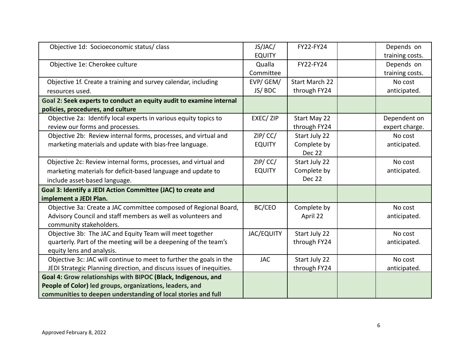| Objective 1d: Socioeconomic status/ class                            | JS/JAC/<br><b>EQUITY</b> | FY22-FY24             | Depends on<br>training costs. |
|----------------------------------------------------------------------|--------------------------|-----------------------|-------------------------------|
| Objective 1e: Cherokee culture                                       | Qualla                   | FY22-FY24             | Depends on                    |
|                                                                      | Committee                |                       | training costs.               |
| Objective 1f. Create a training and survey calendar, including       | EVP/GEM/                 | <b>Start March 22</b> | No cost                       |
| resources used.                                                      | JS/BDC                   | through FY24          | anticipated.                  |
| Goal 2: Seek experts to conduct an equity audit to examine internal  |                          |                       |                               |
| policies, procedures, and culture                                    |                          |                       |                               |
| Objective 2a: Identify local experts in various equity topics to     | EXEC/ZIP                 | Start May 22          | Dependent on                  |
| review our forms and processes.                                      |                          | through FY24          | expert charge.                |
| Objective 2b: Review internal forms, processes, and virtual and      | ZIP/CC/                  | Start July 22         | No cost                       |
| marketing materials and update with bias-free language.              | <b>EQUITY</b>            | Complete by           | anticipated.                  |
|                                                                      |                          | <b>Dec 22</b>         |                               |
| Objective 2c: Review internal forms, processes, and virtual and      | $ZIP/$ CC/               | Start July 22         | No cost                       |
| marketing materials for deficit-based language and update to         | <b>EQUITY</b>            | Complete by           | anticipated.                  |
| include asset-based language.                                        |                          | <b>Dec 22</b>         |                               |
| Goal 3: Identify a JEDI Action Committee (JAC) to create and         |                          |                       |                               |
| implement a JEDI Plan.                                               |                          |                       |                               |
| Objective 3a: Create a JAC committee composed of Regional Board,     | BC/CEO                   | Complete by           | No cost                       |
| Advisory Council and staff members as well as volunteers and         |                          | April 22              | anticipated.                  |
| community stakeholders.                                              |                          |                       |                               |
| Objective 3b: The JAC and Equity Team will meet together             | <b>JAC/EQUITY</b>        | Start July 22         | No cost                       |
| quarterly. Part of the meeting will be a deepening of the team's     |                          | through FY24          | anticipated.                  |
| equity lens and analysis.                                            |                          |                       |                               |
| Objective 3c: JAC will continue to meet to further the goals in the  | <b>JAC</b>               | Start July 22         | No cost                       |
| JEDI Strategic Planning direction, and discuss issues of inequities. |                          | through FY24          | anticipated.                  |
| Goal 4: Grow relationships with BIPOC (Black, Indigenous, and        |                          |                       |                               |
| People of Color) led groups, organizations, leaders, and             |                          |                       |                               |
| communities to deepen understanding of local stories and full        |                          |                       |                               |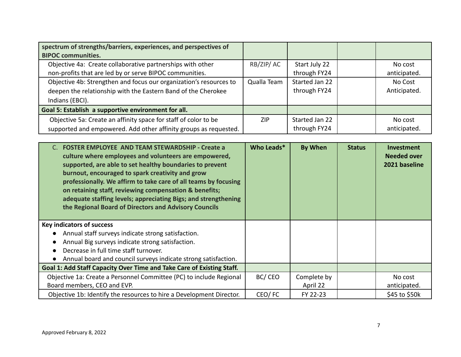| spectrum of strengths/barriers, experiences, and perspectives of<br><b>BIPOC communities.</b> |             |                |              |
|-----------------------------------------------------------------------------------------------|-------------|----------------|--------------|
| Objective 4a: Create collaborative partnerships with other                                    | RB/ZIP/AC   | Start July 22  | No cost      |
| non-profits that are led by or serve BIPOC communities.                                       |             | through FY24   | anticipated. |
| Objective 4b: Strengthen and focus our organization's resources to                            | Qualla Team | Started Jan 22 | No Cost      |
| deepen the relationship with the Eastern Band of the Cherokee                                 |             | through FY24   | Anticipated. |
| Indians (EBCI).                                                                               |             |                |              |
| Goal 5: Establish a supportive environment for all.                                           |             |                |              |
| Objective 5a: Create an affinity space for staff of color to be                               | ZIP         | Started Jan 22 | No cost      |
| supported and empowered. Add other affinity groups as requested.                              |             | through FY24   | anticipated. |

| <b>FOSTER EMPLOYEE AND TEAM STEWARDSHIP - Create a</b><br>culture where employees and volunteers are empowered,<br>supported, are able to set healthy boundaries to prevent<br>burnout, encouraged to spark creativity and grow<br>professionally. We affirm to take care of all teams by focusing<br>on retaining staff, reviewing compensation & benefits;<br>adequate staffing levels; appreciating Bigs; and strengthening<br>the Regional Board of Directors and Advisory Councils | Who Leads* | <b>By When</b>          | <b>Status</b> | <b>Investment</b><br><b>Needed over</b><br>2021 baseline |
|-----------------------------------------------------------------------------------------------------------------------------------------------------------------------------------------------------------------------------------------------------------------------------------------------------------------------------------------------------------------------------------------------------------------------------------------------------------------------------------------|------------|-------------------------|---------------|----------------------------------------------------------|
| <b>Key indicators of success</b><br>Annual staff surveys indicate strong satisfaction.<br>Annual Big surveys indicate strong satisfaction.<br>Decrease in full time staff turnover.<br>Annual board and council surveys indicate strong satisfaction.                                                                                                                                                                                                                                   |            |                         |               |                                                          |
| Goal 1: Add Staff Capacity Over Time and Take Care of Existing Staff.                                                                                                                                                                                                                                                                                                                                                                                                                   |            |                         |               |                                                          |
| Objective 1a: Create a Personnel Committee (PC) to include Regional<br>Board members, CEO and EVP.                                                                                                                                                                                                                                                                                                                                                                                      | BC/CEO     | Complete by<br>April 22 |               | No cost<br>anticipated.                                  |
| Objective 1b: Identify the resources to hire a Development Director.                                                                                                                                                                                                                                                                                                                                                                                                                    | CEO/FC     | FY 22-23                |               | \$45 to \$50k                                            |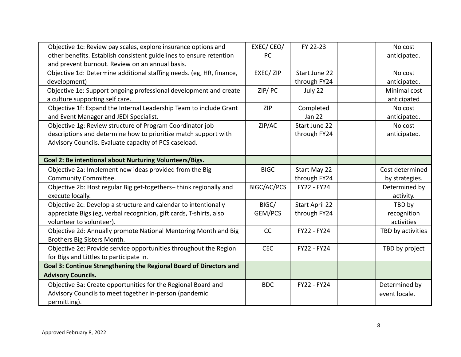| Objective 1c: Review pay scales, explore insurance options and       | EXEC/CEO/          | FY 22-23              | No cost           |
|----------------------------------------------------------------------|--------------------|-----------------------|-------------------|
| other benefits. Establish consistent guidelines to ensure retention  | PC                 |                       | anticipated.      |
| and prevent burnout. Review on an annual basis.                      |                    |                       |                   |
| Objective 1d: Determine additional staffing needs. (eg, HR, finance, | EXEC/ ZIP          | Start June 22         | No cost           |
| development)                                                         |                    | through FY24          | anticipated.      |
| Objective 1e: Support ongoing professional development and create    | ZIP/PC             | July 22               | Minimal cost      |
| a culture supporting self care.                                      |                    |                       | anticipated       |
| Objective 1f: Expand the Internal Leadership Team to include Grant   | <b>ZIP</b>         | Completed             | No cost           |
| and Event Manager and JEDI Specialist.                               |                    | <b>Jan 22</b>         | anticipated.      |
| Objective 1g: Review structure of Program Coordinator job            | ZIP/AC             | <b>Start June 22</b>  | No cost           |
| descriptions and determine how to prioritize match support with      |                    | through FY24          | anticipated.      |
| Advisory Councils. Evaluate capacity of PCS caseload.                |                    |                       |                   |
|                                                                      |                    |                       |                   |
| Goal 2: Be intentional about Nurturing Volunteers/Bigs.              |                    |                       |                   |
| Objective 2a: Implement new ideas provided from the Big              | <b>BIGC</b>        | Start May 22          | Cost determined   |
| <b>Community Committee.</b>                                          |                    | through FY24          | by strategies.    |
| Objective 2b: Host regular Big get-togethers-think regionally and    | <b>BIGC/AC/PCS</b> | FY22 - FY24           | Determined by     |
| execute locally.                                                     |                    |                       | activity.         |
| Objective 2c: Develop a structure and calendar to intentionally      | BIGC/              | <b>Start April 22</b> | TBD by            |
| appreciate Bigs (eg, verbal recognition, gift cards, T-shirts, also  | GEM/PCS            | through FY24          | recognition       |
| volunteer to volunteer).                                             |                    |                       | activities        |
| Objective 2d: Annually promote National Mentoring Month and Big      | CC                 | FY22 - FY24           | TBD by activities |
| Brothers Big Sisters Month.                                          |                    |                       |                   |
| Objective 2e: Provide service opportunities throughout the Region    | <b>CEC</b>         | FY22 - FY24           | TBD by project    |
| for Bigs and Littles to participate in.                              |                    |                       |                   |
| Goal 3: Continue Strengthening the Regional Board of Directors and   |                    |                       |                   |
| <b>Advisory Councils.</b>                                            |                    |                       |                   |
| Objective 3a: Create opportunities for the Regional Board and        | <b>BDC</b>         | FY22 - FY24           | Determined by     |
| Advisory Councils to meet together in-person (pandemic               |                    |                       | event locale.     |
| permitting).                                                         |                    |                       |                   |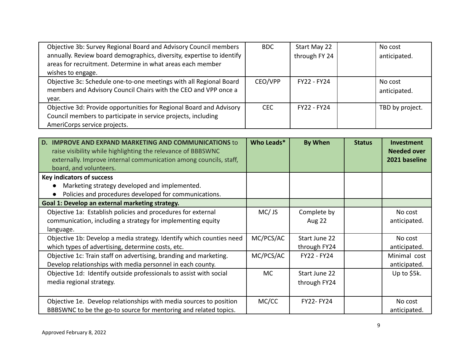| Objective 3b: Survey Regional Board and Advisory Council members      | <b>BDC</b> | Start May 22       | No cost         |
|-----------------------------------------------------------------------|------------|--------------------|-----------------|
| annually. Review board demographics, diversity, expertise to identify |            | through FY 24      | anticipated.    |
| areas for recruitment. Determine in what areas each member            |            |                    |                 |
| wishes to engage.                                                     |            |                    |                 |
| Objective 3c: Schedule one-to-one meetings with all Regional Board    | CEO/VPP    | <b>FY22 - FY24</b> | No cost         |
| members and Advisory Council Chairs with the CEO and VPP once a       |            |                    | anticipated.    |
| year.                                                                 |            |                    |                 |
| Objective 3d: Provide opportunities for Regional Board and Advisory   | CFC.       | <b>FY22 - FY24</b> | TBD by project. |
| Council members to participate in service projects, including         |            |                    |                 |
| AmeriCorps service projects.                                          |            |                    |                 |

| <b>IMPROVE AND EXPAND MARKETING AND COMMUNICATIONS to</b><br>D.<br>raise visibility while highlighting the relevance of BBBSWNC<br>externally. Improve internal communication among councils, staff,<br>board, and volunteers. | Who Leads* | <b>By When</b>                | <b>Status</b> | Investment<br><b>Needed over</b><br>2021 baseline |
|--------------------------------------------------------------------------------------------------------------------------------------------------------------------------------------------------------------------------------|------------|-------------------------------|---------------|---------------------------------------------------|
| <b>Key indicators of success</b>                                                                                                                                                                                               |            |                               |               |                                                   |
| Marketing strategy developed and implemented.<br>Policies and procedures developed for communications.                                                                                                                         |            |                               |               |                                                   |
| Goal 1: Develop an external marketing strategy.                                                                                                                                                                                |            |                               |               |                                                   |
| Objective 1a: Establish policies and procedures for external<br>communication, including a strategy for implementing equity<br>language.                                                                                       | MC/JS      | Complete by<br><b>Aug 22</b>  |               | No cost<br>anticipated.                           |
| Objective 1b: Develop a media strategy. Identify which counties need<br>which types of advertising, determine costs, etc.                                                                                                      | MC/PCS/AC  | Start June 22<br>through FY24 |               | No cost<br>anticipated.                           |
| Objective 1c: Train staff on advertising, branding and marketing.<br>Develop relationships with media personnel in each county.                                                                                                | MC/PCS/AC  | FY22 - FY24                   |               | Minimal cost<br>anticipated.                      |
| Objective 1d: Identify outside professionals to assist with social<br>media regional strategy.                                                                                                                                 | MC.        | Start June 22<br>through FY24 |               | Up to \$5k.                                       |
| Objective 1e. Develop relationships with media sources to position<br>BBBSWNC to be the go-to source for mentoring and related topics.                                                                                         | MC/CC      | <b>FY22-FY24</b>              |               | No cost<br>anticipated.                           |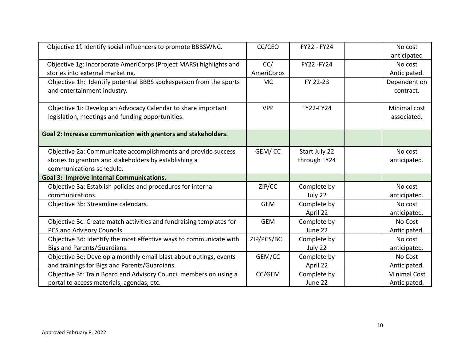| Objective 1f. Identify social influencers to promote BBBSWNC.                                                     | CC/CEO     | FY22 - FY24   | No cost<br>anticipated      |
|-------------------------------------------------------------------------------------------------------------------|------------|---------------|-----------------------------|
| Objective 1g: Incorporate AmeriCorps (Project MARS) highlights and                                                | CC/        | FY22-FY24     | No cost                     |
| stories into external marketing.                                                                                  | AmeriCorps |               | Anticipated.                |
| Objective 1h: Identify potential BBBS spokesperson from the sports<br>and entertainment industry.                 | <b>MC</b>  | FY 22-23      | Dependent on<br>contract.   |
| Objective 1i: Develop an Advocacy Calendar to share important<br>legislation, meetings and funding opportunities. | <b>VPP</b> | FY22-FY24     | Minimal cost<br>associated. |
| Goal 2: Increase communication with grantors and stakeholders.                                                    |            |               |                             |
| Objective 2a: Communicate accomplishments and provide success                                                     | GEM/CC     | Start July 22 | No cost                     |
| stories to grantors and stakeholders by establishing a                                                            |            | through FY24  | anticipated.                |
| communications schedule.                                                                                          |            |               |                             |
| <b>Goal 3: Improve Internal Communications.</b>                                                                   |            |               |                             |
| Objective 3a: Establish policies and procedures for internal                                                      | ZIP/CC     | Complete by   | No cost                     |
| communications.                                                                                                   |            | July 22       | anticipated.                |
| Objective 3b: Streamline calendars.                                                                               | <b>GEM</b> | Complete by   | No cost                     |
|                                                                                                                   |            | April 22      | anticipated.                |
| Objective 3c: Create match activities and fundraising templates for                                               | <b>GEM</b> | Complete by   | No Cost                     |
| PCS and Advisory Councils.                                                                                        |            | June 22       | Anticipated.                |
| Objective 3d: Identify the most effective ways to communicate with                                                | ZIP/PCS/BC | Complete by   | No cost                     |
| Bigs and Parents/Guardians.                                                                                       |            | July 22       | anticipated.                |
| Objective 3e: Develop a monthly email blast about outings, events                                                 | GEM/CC     | Complete by   | No Cost                     |
| and trainings for Bigs and Parents/Guardians.                                                                     |            | April 22      | Anticipated.                |
| Objective 3f: Train Board and Advisory Council members on using a                                                 | CC/GEM     | Complete by   | <b>Minimal Cost</b>         |
| portal to access materials, agendas, etc.                                                                         |            | June 22       | Anticipated.                |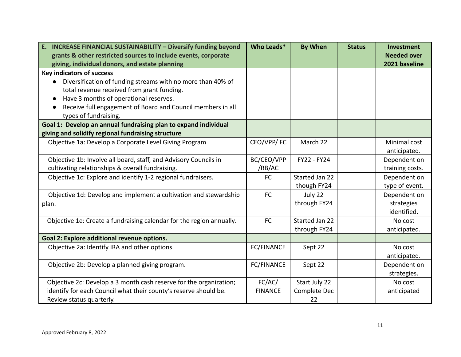| <b>INCREASE FINANCIAL SUSTAINABILITY - Diversify funding beyond</b><br>E. | Who Leads*        | <b>By When</b> | <b>Status</b> | Investment         |
|---------------------------------------------------------------------------|-------------------|----------------|---------------|--------------------|
| grants & other restricted sources to include events, corporate            |                   |                |               | <b>Needed over</b> |
| giving, individual donors, and estate planning                            |                   |                |               | 2021 baseline      |
| <b>Key indicators of success</b>                                          |                   |                |               |                    |
| Diversification of funding streams with no more than 40% of               |                   |                |               |                    |
| total revenue received from grant funding.                                |                   |                |               |                    |
| Have 3 months of operational reserves.                                    |                   |                |               |                    |
| Receive full engagement of Board and Council members in all               |                   |                |               |                    |
| types of fundraising.                                                     |                   |                |               |                    |
| Goal 1: Develop an annual fundraising plan to expand individual           |                   |                |               |                    |
| giving and solidify regional fundraising structure                        |                   |                |               |                    |
| Objective 1a: Develop a Corporate Level Giving Program                    | CEO/VPP/FC        | March 22       |               | Minimal cost       |
|                                                                           |                   |                |               | anticipated.       |
| Objective 1b: Involve all board, staff, and Advisory Councils in          | BC/CEO/VPP        | FY22 - FY24    |               | Dependent on       |
| cultivating relationships & overall fundraising.                          | /RB/AC            |                |               | training costs.    |
| Objective 1c: Explore and identify 1-2 regional fundraisers.              | <b>FC</b>         | Started Jan 22 |               | Dependent on       |
|                                                                           |                   | though FY24    |               | type of event.     |
| Objective 1d: Develop and implement a cultivation and stewardship         | <b>FC</b>         | July 22        |               | Dependent on       |
| plan.                                                                     |                   | through FY24   |               | strategies         |
|                                                                           |                   |                |               | identified.        |
| Objective 1e: Create a fundraising calendar for the region annually.      | <b>FC</b>         | Started Jan 22 |               | No cost            |
|                                                                           |                   | through FY24   |               | anticipated.       |
| Goal 2: Explore additional revenue options.                               |                   |                |               |                    |
| Objective 2a: Identify IRA and other options.                             | <b>FC/FINANCE</b> | Sept 22        |               | No cost            |
|                                                                           |                   |                |               | anticipated.       |
| Objective 2b: Develop a planned giving program.                           | <b>FC/FINANCE</b> | Sept 22        |               | Dependent on       |
|                                                                           |                   |                |               | strategies.        |
| Objective 2c: Develop a 3 month cash reserve for the organization;        | FC/AC/            | Start July 22  |               | No cost            |
| identify for each Council what their county's reserve should be.          | <b>FINANCE</b>    | Complete Dec   |               | anticipated        |
| Review status quarterly.                                                  |                   | 22             |               |                    |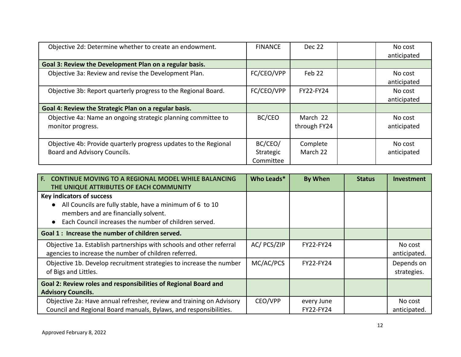| Objective 2d: Determine whether to create an endowment.                                          | <b>FINANCE</b>                    | Dec 22                   | No cost<br>anticipated |
|--------------------------------------------------------------------------------------------------|-----------------------------------|--------------------------|------------------------|
| Goal 3: Review the Development Plan on a regular basis.                                          |                                   |                          |                        |
| Objective 3a: Review and revise the Development Plan.                                            | FC/CEO/VPP                        | Feb 22                   | No cost<br>anticipated |
| Objective 3b: Report quarterly progress to the Regional Board.                                   | FC/CEO/VPP                        | <b>FY22-FY24</b>         | No cost<br>anticipated |
| Goal 4: Review the Strategic Plan on a regular basis.                                            |                                   |                          |                        |
| Objective 4a: Name an ongoing strategic planning committee to<br>monitor progress.               | BC/CEO                            | March 22<br>through FY24 | No cost<br>anticipated |
| Objective 4b: Provide quarterly progress updates to the Regional<br>Board and Advisory Councils. | BC/CEO/<br>Strategic<br>Committee | Complete<br>March 22     | No cost<br>anticipated |

| E.<br><b>CONTINUE MOVING TO A REGIONAL MODEL WHILE BALANCING</b>                                                                                                                              | Who Leads*  | <b>By When</b>          | <b>Status</b> | <b>Investment</b>         |
|-----------------------------------------------------------------------------------------------------------------------------------------------------------------------------------------------|-------------|-------------------------|---------------|---------------------------|
| THE UNIQUE ATTRIBUTES OF EACH COMMUNITY                                                                                                                                                       |             |                         |               |                           |
| <b>Key indicators of success</b><br>All Councils are fully stable, have a minimum of 6 to 10<br>members and are financially solvent.<br>Each Council increases the number of children served. |             |                         |               |                           |
| Goal 1: Increase the number of children served.                                                                                                                                               |             |                         |               |                           |
| Objective 1a. Establish partnerships with schools and other referral<br>agencies to increase the number of children referred.                                                                 | AC/ PCS/ZIP | <b>FY22-FY24</b>        |               | No cost<br>anticipated.   |
| Objective 1b. Develop recruitment strategies to increase the number<br>of Bigs and Littles.                                                                                                   | MC/AC/PCS   | <b>FY22-FY24</b>        |               | Depends on<br>strategies. |
| Goal 2: Review roles and responsibilities of Regional Board and<br><b>Advisory Councils.</b>                                                                                                  |             |                         |               |                           |
| Objective 2a: Have annual refresher, review and training on Advisory<br>Council and Regional Board manuals, Bylaws, and responsibilities.                                                     | CEO/VPP     | every June<br>FY22-FY24 |               | No cost<br>anticipated.   |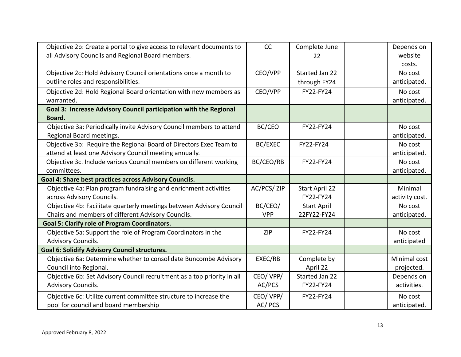| Objective 2b: Create a portal to give access to relevant documents to<br>all Advisory Councils and Regional Board members.   | CC                    | Complete June<br>22               | Depends on<br>website<br>costs. |
|------------------------------------------------------------------------------------------------------------------------------|-----------------------|-----------------------------------|---------------------------------|
| Objective 2c: Hold Advisory Council orientations once a month to<br>outline roles and responsibilities.                      | CEO/VPP               | Started Jan 22<br>through FY24    | No cost<br>anticipated.         |
| Objective 2d: Hold Regional Board orientation with new members as<br>warranted.                                              | CEO/VPP               | FY22-FY24                         | No cost<br>anticipated.         |
| Goal 3: Increase Advisory Council participation with the Regional<br>Board.                                                  |                       |                                   |                                 |
| Objective 3a: Periodically invite Advisory Council members to attend<br>Regional Board meetings.                             | BC/CEO                | FY22-FY24                         | No cost<br>anticipated.         |
| Objective 3b: Require the Regional Board of Directors Exec Team to<br>attend at least one Advisory Council meeting annually. | BC/EXEC               | FY22-FY24                         | No cost<br>anticipated.         |
| Objective 3c. Include various Council members on different working<br>committees.                                            | BC/CEO/RB             | FY22-FY24                         | No cost<br>anticipated.         |
| Goal 4: Share best practices across Advisory Councils.                                                                       |                       |                                   |                                 |
| Objective 4a: Plan program fundraising and enrichment activities<br>across Advisory Councils.                                | AC/PCS/ ZIP           | Start April 22<br>FY22-FY24       | Minimal<br>activity cost.       |
| Objective 4b: Facilitate quarterly meetings between Advisory Council<br>Chairs and members of different Advisory Councils.   | BC/CEO/<br><b>VPP</b> | <b>Start April</b><br>22FY22-FY24 | No cost<br>anticipated.         |
| <b>Goal 5: Clarify role of Program Coordinators.</b>                                                                         |                       |                                   |                                 |
| Objective 5a: Support the role of Program Coordinators in the<br>Advisory Councils.                                          | <b>ZIP</b>            | FY22-FY24                         | No cost<br>anticipated          |
| <b>Goal 6: Solidify Advisory Council structures.</b>                                                                         |                       |                                   |                                 |
| Objective 6a: Determine whether to consolidate Buncombe Advisory<br>Council into Regional.                                   | EXEC/RB               | Complete by<br>April 22           | Minimal cost<br>projected.      |
| Objective 6b: Set Advisory Council recruitment as a top priority in all<br>Advisory Councils.                                | CEO/VPP/<br>AC/PCS    | Started Jan 22<br>FY22-FY24       | Depends on<br>activities.       |
| Objective 6c: Utilize current committee structure to increase the<br>pool for council and board membership                   | CEO/VPP/<br>AC/PCS    | FY22-FY24                         | No cost<br>anticipated.         |